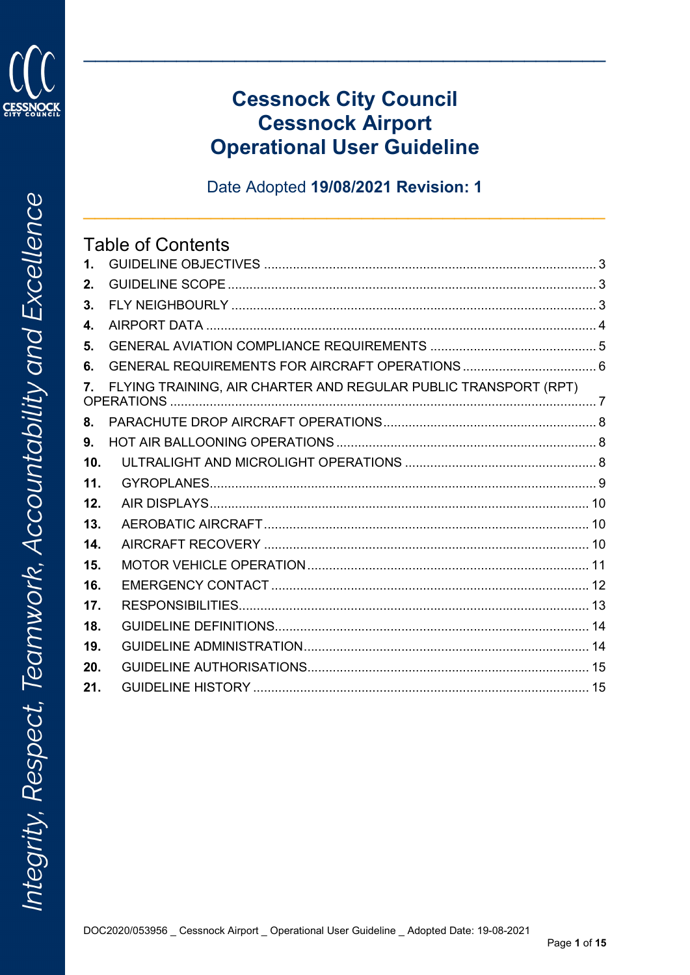

# **Cessnock City Council Cessnock Airport Operational User Guideline**

Date Adopted 19/08/2021 Revision: 1

#### **Table of Contents**  $\mathbf{1}$  $2.$  $3<sub>1</sub>$ AIRPORT DATA 4  $\mathbf{4}$ 5. 6.  $7.$ FLYING TRAINING. AIR CHARTER AND REGULAR PUBLIC TRANSPORT (RPT) 8. HOT AIR BALLOONING OPERATIONS 8 9.  $10<sub>1</sub>$  $11.$  $12<sub>1</sub>$ AIR DISPI AYS 40 AM AND 10  $13.$  $14$ 15. 16.  $17<sub>1</sub>$ RESPONSIBILITIES 13 18. 19. 20.  $21$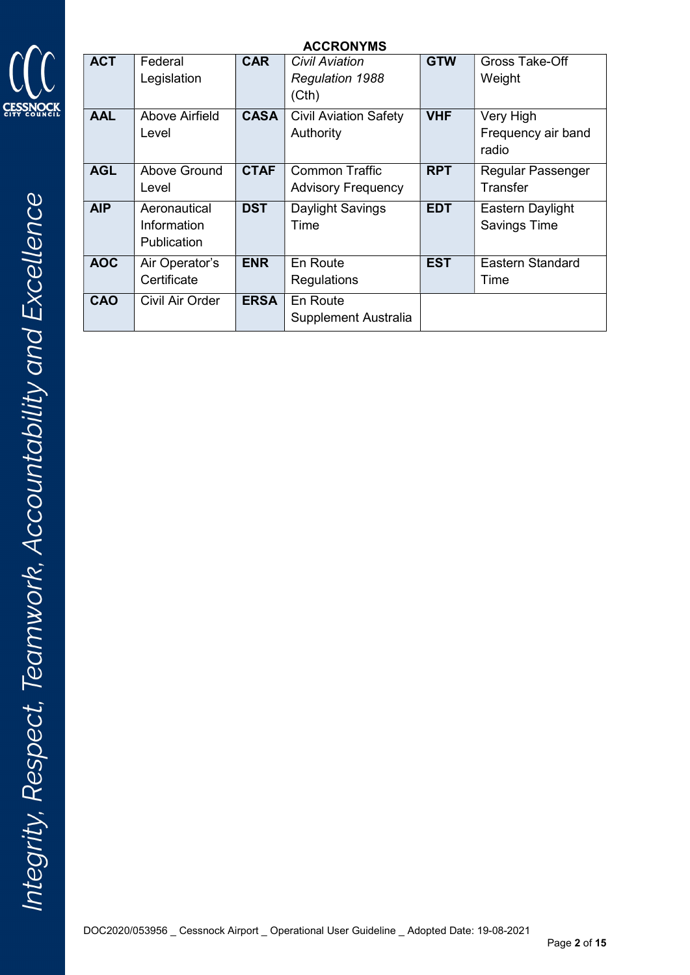

| <b>ACCRONYMS</b> |                                                   |             |                                                    |            |                                          |
|------------------|---------------------------------------------------|-------------|----------------------------------------------------|------------|------------------------------------------|
| <b>ACT</b>       | Federal<br>Legislation                            | <b>CAR</b>  | Civil Aviation<br><b>Regulation 1988</b><br>(Cth)  | <b>GTW</b> | Gross Take-Off<br>Weight                 |
| <b>AAL</b>       | Above Airfield<br>Level                           | <b>CASA</b> | <b>Civil Aviation Safety</b><br>Authority          | <b>VHF</b> | Very High<br>Frequency air band<br>radio |
| <b>AGL</b>       | Above Ground<br>Level                             | <b>CTAF</b> | <b>Common Traffic</b><br><b>Advisory Frequency</b> | <b>RPT</b> | <b>Regular Passenger</b><br>Transfer     |
| <b>AIP</b>       | Aeronautical<br>Information<br><b>Publication</b> | <b>DST</b>  | Daylight Savings<br>Time                           | <b>EDT</b> | Eastern Daylight<br><b>Savings Time</b>  |
| <b>AOC</b>       | Air Operator's<br>Certificate                     | <b>ENR</b>  | En Route<br>Regulations                            | <b>EST</b> | Eastern Standard<br>Time                 |
| CAO              | Civil Air Order                                   | <b>ERSA</b> | En Route<br>Supplement Australia                   |            |                                          |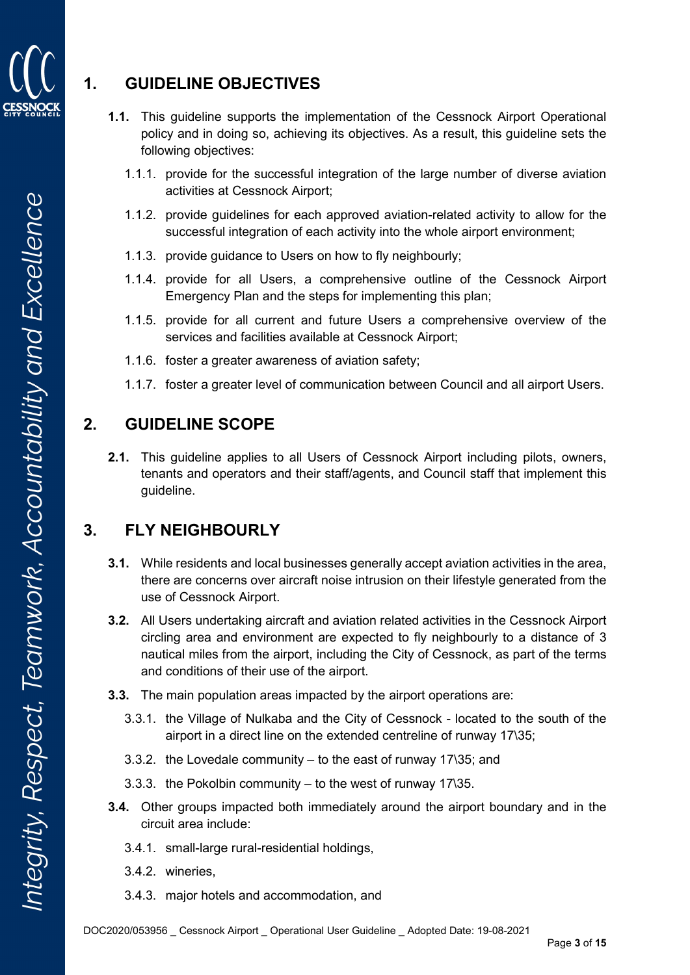

### 1. GUIDELINE OBJECTIVES

- 1.1. This guideline supports the implementation of the Cessnock Airport Operational policy and in doing so, achieving its objectives. As a result, this guideline sets the following objectives:
	- 1.1.1. provide for the successful integration of the large number of diverse aviation activities at Cessnock Airport;
	- 1.1.2. provide guidelines for each approved aviation-related activity to allow for the successful integration of each activity into the whole airport environment;
	- 1.1.3. provide guidance to Users on how to fly neighbourly;
	- 1.1.4. provide for all Users, a comprehensive outline of the Cessnock Airport Emergency Plan and the steps for implementing this plan;
	- 1.1.5. provide for all current and future Users a comprehensive overview of the services and facilities available at Cessnock Airport;
	- 1.1.6. foster a greater awareness of aviation safety;
	- 1.1.7. foster a greater level of communication between Council and all airport Users.

### 2. GUIDELINE SCOPE

2.1. This guideline applies to all Users of Cessnock Airport including pilots, owners, tenants and operators and their staff/agents, and Council staff that implement this guideline.

### 3. FLY NEIGHBOURLY

- 3.1. While residents and local businesses generally accept aviation activities in the area, there are concerns over aircraft noise intrusion on their lifestyle generated from the use of Cessnock Airport.
- 3.2. All Users undertaking aircraft and aviation related activities in the Cessnock Airport circling area and environment are expected to fly neighbourly to a distance of 3 nautical miles from the airport, including the City of Cessnock, as part of the terms and conditions of their use of the airport.
- 3.3. The main population areas impacted by the airport operations are:
	- 3.3.1. the Village of Nulkaba and the City of Cessnock located to the south of the airport in a direct line on the extended centreline of runway 17\35;
	- 3.3.2. the Lovedale community to the east of runway 17\35; and
	- 3.3.3. the Pokolbin community to the west of runway 17\35.
- 3.4. Other groups impacted both immediately around the airport boundary and in the circuit area include:
	- 3.4.1. small-large rural-residential holdings,
	- 3.4.2. wineries,
	- 3.4.3. major hotels and accommodation, and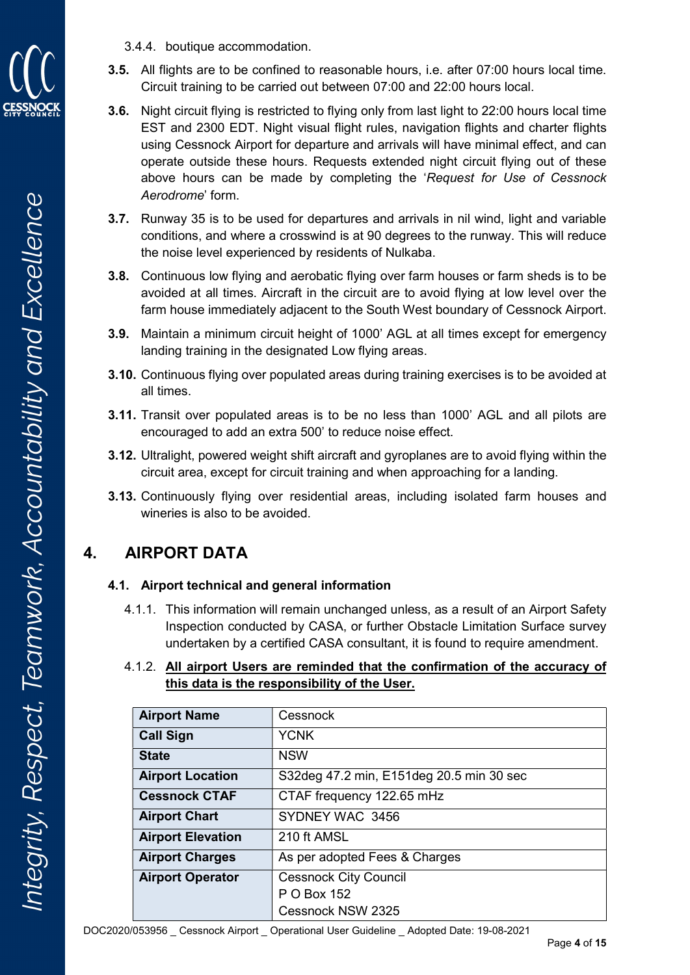

3.4.4. boutique accommodation.

- 3.5. All flights are to be confined to reasonable hours, i.e. after 07:00 hours local time. Circuit training to be carried out between 07:00 and 22:00 hours local.
- 3.6. Night circuit flying is restricted to flying only from last light to 22:00 hours local time EST and 2300 EDT. Night visual flight rules, navigation flights and charter flights using Cessnock Airport for departure and arrivals will have minimal effect, and can operate outside these hours. Requests extended night circuit flying out of these above hours can be made by completing the 'Request for Use of Cessnock Aerodrome' form.
- 3.7. Runway 35 is to be used for departures and arrivals in nil wind, light and variable conditions, and where a crosswind is at 90 degrees to the runway. This will reduce the noise level experienced by residents of Nulkaba.
- 3.8. Continuous low flying and aerobatic flying over farm houses or farm sheds is to be avoided at all times. Aircraft in the circuit are to avoid flying at low level over the farm house immediately adjacent to the South West boundary of Cessnock Airport.
- 3.9. Maintain a minimum circuit height of 1000' AGL at all times except for emergency landing training in the designated Low flying areas.
- 3.10. Continuous flying over populated areas during training exercises is to be avoided at all times.
- 3.11. Transit over populated areas is to be no less than 1000' AGL and all pilots are encouraged to add an extra 500' to reduce noise effect.
- 3.12. Ultralight, powered weight shift aircraft and gyroplanes are to avoid flying within the circuit area, except for circuit training and when approaching for a landing.
- 3.13. Continuously flying over residential areas, including isolated farm houses and wineries is also to be avoided.

## 4. AIRPORT DATA

#### 4.1. Airport technical and general information

4.1.1. This information will remain unchanged unless, as a result of an Airport Safety Inspection conducted by CASA, or further Obstacle Limitation Surface survey undertaken by a certified CASA consultant, it is found to require amendment.

| <b>Airport Name</b>                                     | Cessnock                                 |  |
|---------------------------------------------------------|------------------------------------------|--|
| <b>Call Sign</b>                                        | <b>YCNK</b>                              |  |
| <b>State</b>                                            | <b>NSW</b>                               |  |
| <b>Airport Location</b>                                 | S32deg 47.2 min, E151deg 20.5 min 30 sec |  |
| <b>Cessnock CTAF</b>                                    | CTAF frequency 122.65 mHz                |  |
| <b>Airport Chart</b>                                    | SYDNEY WAC 3456                          |  |
| <b>Airport Elevation</b>                                | 210 ft AMSL                              |  |
| <b>Airport Charges</b><br>As per adopted Fees & Charges |                                          |  |
| <b>Airport Operator</b>                                 | <b>Cessnock City Council</b>             |  |
|                                                         | P O Box 152                              |  |
|                                                         | Cessnock NSW 2325                        |  |

#### 4.1.2. All airport Users are reminded that the confirmation of the accuracy of this data is the responsibility of the User.

DOC2020/053956 \_ Cessnock Airport \_ Operational User Guideline \_ Adopted Date: 19-08-2021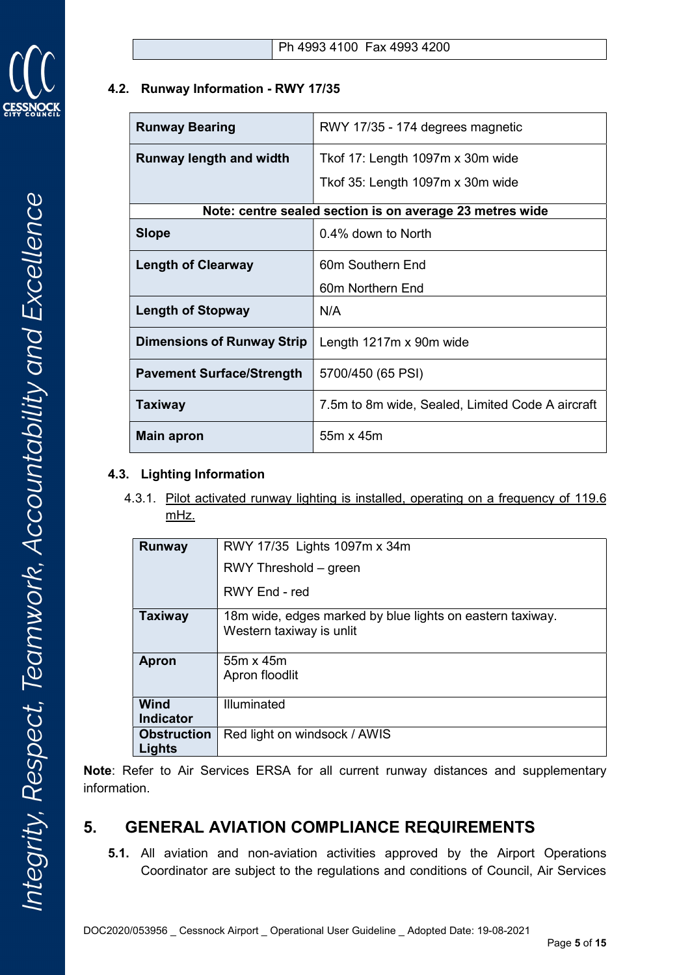

#### 4.2. Runway Information - RWY 17/35

| <b>Runway Bearing</b>                                    | RWY 17/35 - 174 degrees magnetic                 |  |
|----------------------------------------------------------|--------------------------------------------------|--|
| <b>Runway length and width</b>                           | Tkof 17: Length 1097m x 30m wide                 |  |
|                                                          | Tkof 35: Length 1097m x 30m wide                 |  |
| Note: centre sealed section is on average 23 metres wide |                                                  |  |
| <b>Slope</b>                                             | 0.4% down to North                               |  |
| <b>Length of Clearway</b>                                | 60m Southern End                                 |  |
|                                                          | 60m Northern End                                 |  |
| <b>Length of Stopway</b>                                 | N/A                                              |  |
| <b>Dimensions of Runway Strip</b>                        | Length 1217m x 90m wide                          |  |
| <b>Pavement Surface/Strength</b>                         | 5700/450 (65 PSI)                                |  |
| <b>Taxiway</b>                                           | 7.5m to 8m wide, Sealed, Limited Code A aircraft |  |
| Main apron                                               | 55m x 45m                                        |  |

#### 4.3. Lighting Information

4.3.1. Pilot activated runway lighting is installed, operating on a frequency of 119.6 mHz.

| Runway             | RWY 17/35 Lights 1097m x 34m                                                          |  |
|--------------------|---------------------------------------------------------------------------------------|--|
|                    | RWY Threshold – green                                                                 |  |
|                    | RWY End - red                                                                         |  |
| <b>Taxiway</b>     | 18m wide, edges marked by blue lights on eastern taxiway.<br>Western taxiway is unlit |  |
| <b>Apron</b>       | $55m \times 45m$                                                                      |  |
|                    | Apron floodlit                                                                        |  |
| Wind               | Illuminated                                                                           |  |
| <b>Indicator</b>   |                                                                                       |  |
| <b>Obstruction</b> | Red light on windsock / AWIS                                                          |  |
| Lights             |                                                                                       |  |

Note: Refer to Air Services ERSA for all current runway distances and supplementary information.

### 5. GENERAL AVIATION COMPLIANCE REQUIREMENTS

5.1. All aviation and non-aviation activities approved by the Airport Operations Coordinator are subject to the regulations and conditions of Council, Air Services

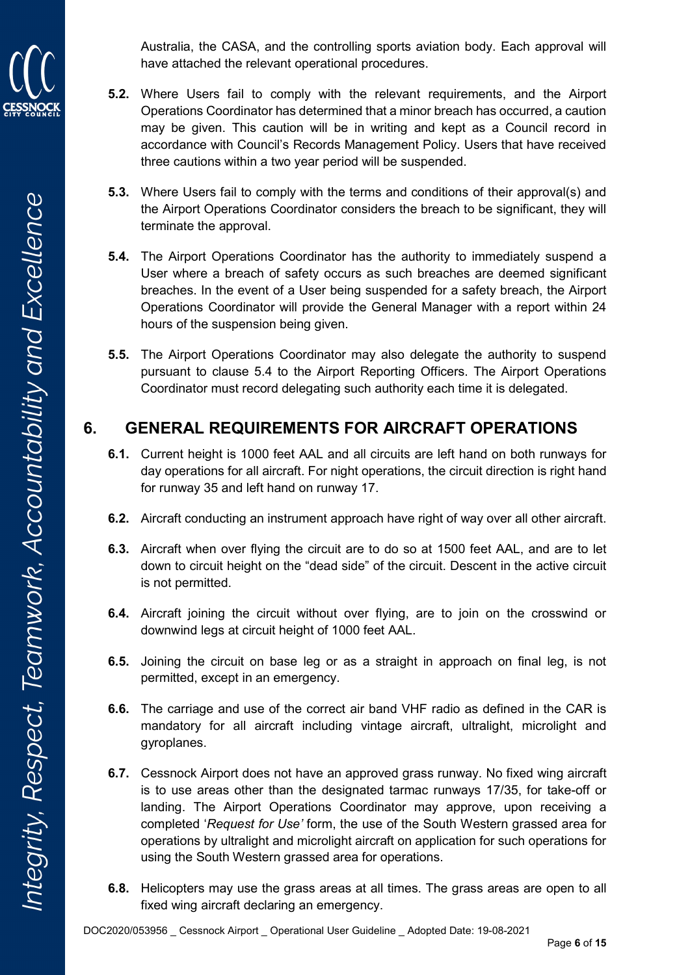Australia, the CASA, and the controlling sports aviation body. Each approval will have attached the relevant operational procedures.

- 5.2. Where Users fail to comply with the relevant requirements, and the Airport Operations Coordinator has determined that a minor breach has occurred, a caution may be given. This caution will be in writing and kept as a Council record in accordance with Council's Records Management Policy. Users that have received three cautions within a two year period will be suspended.
- 5.3. Where Users fail to comply with the terms and conditions of their approval(s) and the Airport Operations Coordinator considers the breach to be significant, they will terminate the approval.
- 5.4. The Airport Operations Coordinator has the authority to immediately suspend a User where a breach of safety occurs as such breaches are deemed significant breaches. In the event of a User being suspended for a safety breach, the Airport Operations Coordinator will provide the General Manager with a report within 24 hours of the suspension being given.
- 5.5. The Airport Operations Coordinator may also delegate the authority to suspend pursuant to clause 5.4 to the Airport Reporting Officers. The Airport Operations Coordinator must record delegating such authority each time it is delegated.

### 6. GENERAL REQUIREMENTS FOR AIRCRAFT OPERATIONS

- 6.1. Current height is 1000 feet AAL and all circuits are left hand on both runways for day operations for all aircraft. For night operations, the circuit direction is right hand for runway 35 and left hand on runway 17.
- 6.2. Aircraft conducting an instrument approach have right of way over all other aircraft.
- 6.3. Aircraft when over flying the circuit are to do so at 1500 feet AAL, and are to let down to circuit height on the "dead side" of the circuit. Descent in the active circuit is not permitted.
- 6.4. Aircraft joining the circuit without over flying, are to join on the crosswind or downwind legs at circuit height of 1000 feet AAL.
- 6.5. Joining the circuit on base leg or as a straight in approach on final leg, is not permitted, except in an emergency.
- 6.6. The carriage and use of the correct air band VHF radio as defined in the CAR is mandatory for all aircraft including vintage aircraft, ultralight, microlight and gyroplanes.
- 6.7. Cessnock Airport does not have an approved grass runway. No fixed wing aircraft is to use areas other than the designated tarmac runways 17/35, for take-off or landing. The Airport Operations Coordinator may approve, upon receiving a completed 'Request for Use' form, the use of the South Western grassed area for operations by ultralight and microlight aircraft on application for such operations for using the South Western grassed area for operations.
- 6.8. Helicopters may use the grass areas at all times. The grass areas are open to all fixed wing aircraft declaring an emergency.

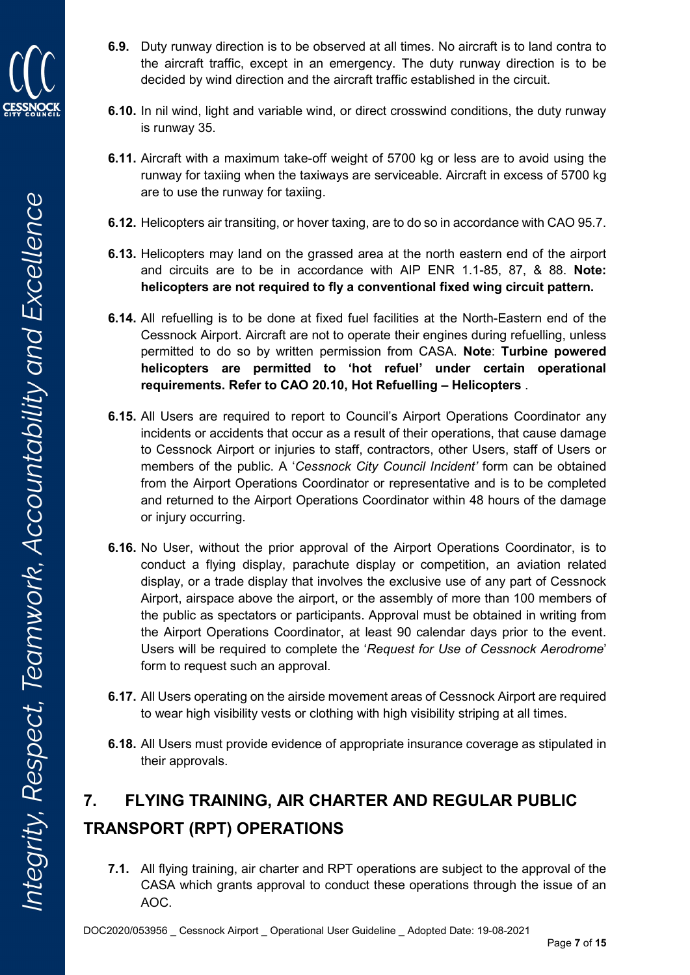

Integrity, Respect, Teamwork, Accountability and Excellence

- 6.9. Duty runway direction is to be observed at all times. No aircraft is to land contra to the aircraft traffic, except in an emergency. The duty runway direction is to be decided by wind direction and the aircraft traffic established in the circuit.
- 6.10. In nil wind, light and variable wind, or direct crosswind conditions, the duty runway is runway 35.
- 6.11. Aircraft with a maximum take-off weight of 5700 kg or less are to avoid using the runway for taxiing when the taxiways are serviceable. Aircraft in excess of 5700 kg are to use the runway for taxiing.
- 6.12. Helicopters air transiting, or hover taxing, are to do so in accordance with CAO 95.7.
- 6.13. Helicopters may land on the grassed area at the north eastern end of the airport and circuits are to be in accordance with AIP ENR 1.1-85, 87, & 88. Note: helicopters are not required to fly a conventional fixed wing circuit pattern.
- 6.14. All refuelling is to be done at fixed fuel facilities at the North-Eastern end of the Cessnock Airport. Aircraft are not to operate their engines during refuelling, unless permitted to do so by written permission from CASA. Note: Turbine powered helicopters are permitted to 'hot refuel' under certain operational requirements. Refer to CAO 20.10, Hot Refuelling – Helicopters .
- 6.15. All Users are required to report to Council's Airport Operations Coordinator any incidents or accidents that occur as a result of their operations, that cause damage to Cessnock Airport or injuries to staff, contractors, other Users, staff of Users or members of the public. A 'Cessnock City Council Incident' form can be obtained from the Airport Operations Coordinator or representative and is to be completed and returned to the Airport Operations Coordinator within 48 hours of the damage or injury occurring.
- 6.16. No User, without the prior approval of the Airport Operations Coordinator, is to conduct a flying display, parachute display or competition, an aviation related display, or a trade display that involves the exclusive use of any part of Cessnock Airport, airspace above the airport, or the assembly of more than 100 members of the public as spectators or participants. Approval must be obtained in writing from the Airport Operations Coordinator, at least 90 calendar days prior to the event. Users will be required to complete the 'Request for Use of Cessnock Aerodrome' form to request such an approval.
- 6.17. All Users operating on the airside movement areas of Cessnock Airport are required to wear high visibility vests or clothing with high visibility striping at all times.
- 6.18. All Users must provide evidence of appropriate insurance coverage as stipulated in their approvals.

# 7. FLYING TRAINING, AIR CHARTER AND REGULAR PUBLIC TRANSPORT (RPT) OPERATIONS

7.1. All flying training, air charter and RPT operations are subject to the approval of the CASA which grants approval to conduct these operations through the issue of an AOC.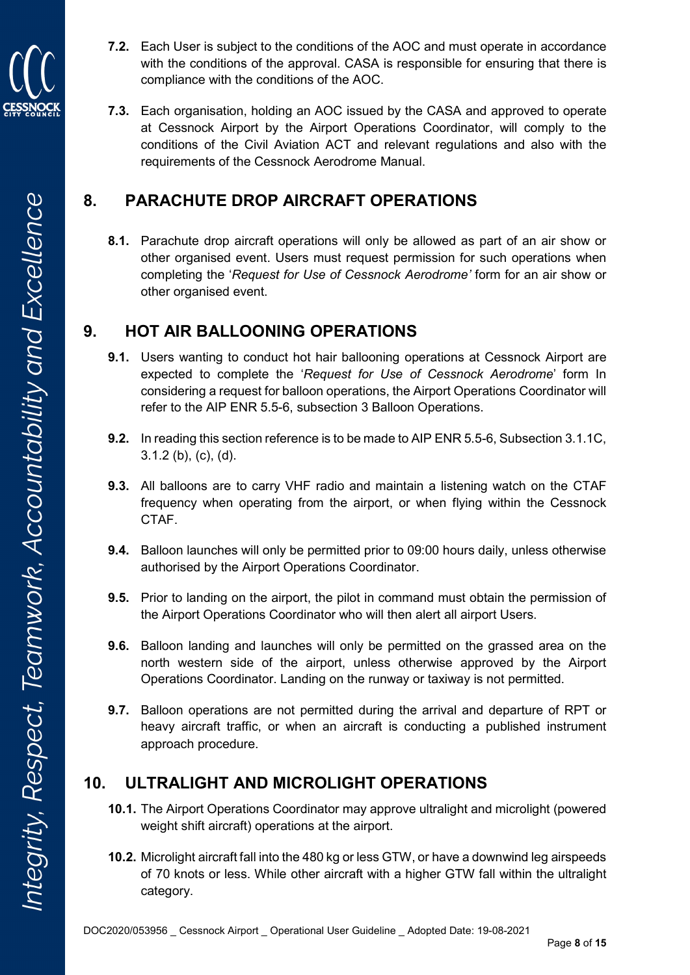

- 7.2. Each User is subject to the conditions of the AOC and must operate in accordance with the conditions of the approval. CASA is responsible for ensuring that there is compliance with the conditions of the AOC.
- 7.3. Each organisation, holding an AOC issued by the CASA and approved to operate at Cessnock Airport by the Airport Operations Coordinator, will comply to the conditions of the Civil Aviation ACT and relevant regulations and also with the requirements of the Cessnock Aerodrome Manual.

### 8. PARACHUTE DROP AIRCRAFT OPERATIONS

8.1. Parachute drop aircraft operations will only be allowed as part of an air show or other organised event. Users must request permission for such operations when completing the 'Request for Use of Cessnock Aerodrome' form for an air show or other organised event.

### 9. HOT AIR BALLOONING OPERATIONS

- 9.1. Users wanting to conduct hot hair ballooning operations at Cessnock Airport are expected to complete the 'Request for Use of Cessnock Aerodrome' form In considering a request for balloon operations, the Airport Operations Coordinator will refer to the AIP ENR 5.5-6, subsection 3 Balloon Operations.
- 9.2. In reading this section reference is to be made to AIP ENR 5.5-6, Subsection 3.1.1C, 3.1.2 (b), (c), (d).
- 9.3. All balloons are to carry VHF radio and maintain a listening watch on the CTAF frequency when operating from the airport, or when flying within the Cessnock CTAF.
- 9.4. Balloon launches will only be permitted prior to 09:00 hours daily, unless otherwise authorised by the Airport Operations Coordinator.
- **9.5.** Prior to landing on the airport, the pilot in command must obtain the permission of the Airport Operations Coordinator who will then alert all airport Users.
- 9.6. Balloon landing and launches will only be permitted on the grassed area on the north western side of the airport, unless otherwise approved by the Airport Operations Coordinator. Landing on the runway or taxiway is not permitted.
- 9.7. Balloon operations are not permitted during the arrival and departure of RPT or heavy aircraft traffic, or when an aircraft is conducting a published instrument approach procedure.

### 10. ULTRALIGHT AND MICROLIGHT OPERATIONS

- 10.1. The Airport Operations Coordinator may approve ultralight and microlight (powered weight shift aircraft) operations at the airport.
- 10.2. Microlight aircraft fall into the 480 kg or less GTW, or have a downwind leg airspeeds of 70 knots or less. While other aircraft with a higher GTW fall within the ultralight category.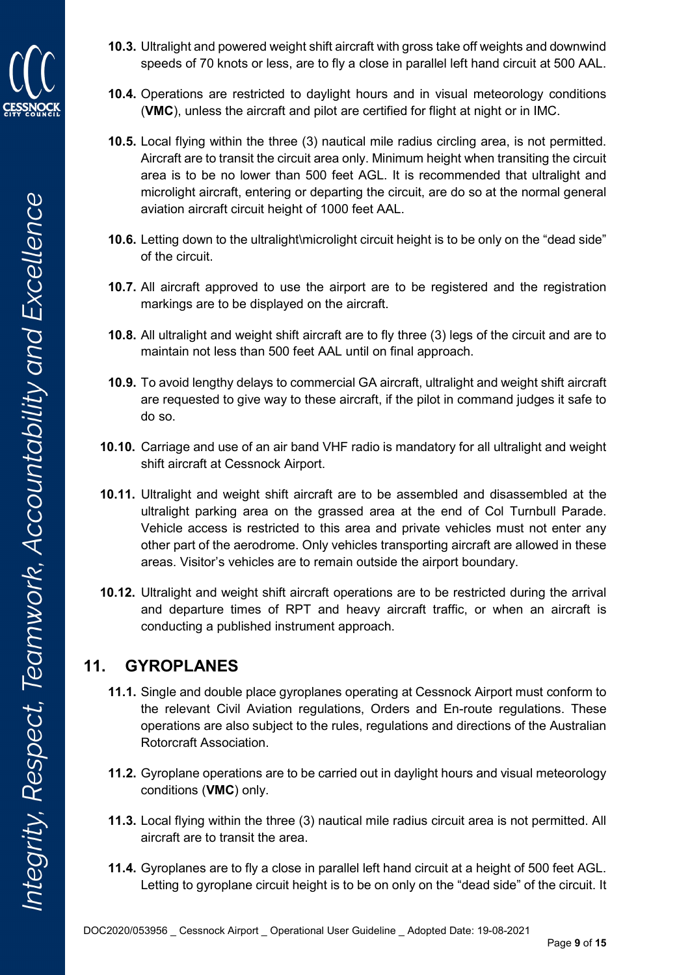

- 10.3. Ultralight and powered weight shift aircraft with gross take off weights and downwind speeds of 70 knots or less, are to fly a close in parallel left hand circuit at 500 AAL.
- 10.4. Operations are restricted to daylight hours and in visual meteorology conditions (VMC), unless the aircraft and pilot are certified for flight at night or in IMC.
- 10.5. Local flying within the three (3) nautical mile radius circling area, is not permitted. Aircraft are to transit the circuit area only. Minimum height when transiting the circuit area is to be no lower than 500 feet AGL. It is recommended that ultralight and microlight aircraft, entering or departing the circuit, are do so at the normal general aviation aircraft circuit height of 1000 feet AAL.
- 10.6. Letting down to the ultralight\microlight circuit height is to be only on the "dead side" of the circuit.
- 10.7. All aircraft approved to use the airport are to be registered and the registration markings are to be displayed on the aircraft.
- 10.8. All ultralight and weight shift aircraft are to fly three (3) legs of the circuit and are to maintain not less than 500 feet AAL until on final approach.
- 10.9. To avoid lengthy delays to commercial GA aircraft, ultralight and weight shift aircraft are requested to give way to these aircraft, if the pilot in command judges it safe to do so.
- 10.10. Carriage and use of an air band VHF radio is mandatory for all ultralight and weight shift aircraft at Cessnock Airport.
- 10.11. Ultralight and weight shift aircraft are to be assembled and disassembled at the ultralight parking area on the grassed area at the end of Col Turnbull Parade. Vehicle access is restricted to this area and private vehicles must not enter any other part of the aerodrome. Only vehicles transporting aircraft are allowed in these areas. Visitor's vehicles are to remain outside the airport boundary.
- 10.12. Ultralight and weight shift aircraft operations are to be restricted during the arrival and departure times of RPT and heavy aircraft traffic, or when an aircraft is conducting a published instrument approach.

### 11. GYROPLANES

- 11.1. Single and double place gyroplanes operating at Cessnock Airport must conform to the relevant Civil Aviation regulations, Orders and En-route regulations. These operations are also subject to the rules, regulations and directions of the Australian Rotorcraft Association.
- 11.2. Gyroplane operations are to be carried out in daylight hours and visual meteorology conditions (VMC) only.
- 11.3. Local flying within the three (3) nautical mile radius circuit area is not permitted. All aircraft are to transit the area.
- 11.4. Gyroplanes are to fly a close in parallel left hand circuit at a height of 500 feet AGL. Letting to gyroplane circuit height is to be on only on the "dead side" of the circuit. It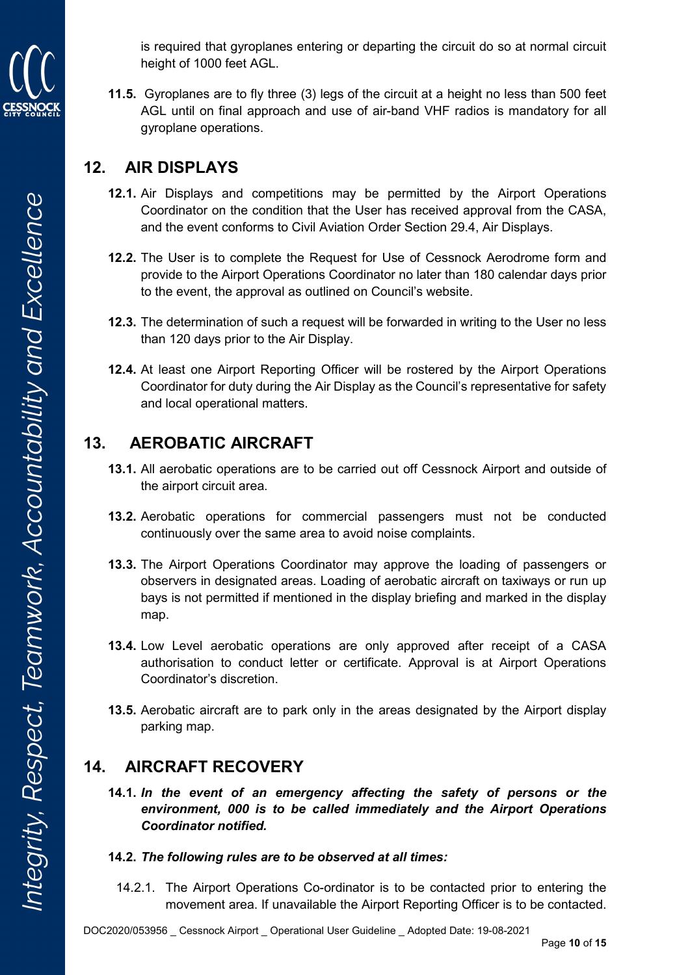is required that gyroplanes entering or departing the circuit do so at normal circuit height of 1000 feet AGL.

11.5. Gyroplanes are to fly three (3) legs of the circuit at a height no less than 500 feet AGL until on final approach and use of air-band VHF radios is mandatory for all gyroplane operations.

### 12. AIR DISPLAYS

- 12.1. Air Displays and competitions may be permitted by the Airport Operations Coordinator on the condition that the User has received approval from the CASA, and the event conforms to Civil Aviation Order Section 29.4, Air Displays.
- 12.2. The User is to complete the Request for Use of Cessnock Aerodrome form and provide to the Airport Operations Coordinator no later than 180 calendar days prior to the event, the approval as outlined on Council's website.
- 12.3. The determination of such a request will be forwarded in writing to the User no less than 120 days prior to the Air Display.
- 12.4. At least one Airport Reporting Officer will be rostered by the Airport Operations Coordinator for duty during the Air Display as the Council's representative for safety and local operational matters.

### 13. AEROBATIC AIRCRAFT

- 13.1. All aerobatic operations are to be carried out off Cessnock Airport and outside of the airport circuit area.
- 13.2. Aerobatic operations for commercial passengers must not be conducted continuously over the same area to avoid noise complaints.
- 13.3. The Airport Operations Coordinator may approve the loading of passengers or observers in designated areas. Loading of aerobatic aircraft on taxiways or run up bays is not permitted if mentioned in the display briefing and marked in the display map.
- 13.4. Low Level aerobatic operations are only approved after receipt of a CASA authorisation to conduct letter or certificate. Approval is at Airport Operations Coordinator's discretion.
- 13.5. Aerobatic aircraft are to park only in the areas designated by the Airport display parking map.

### 14. AIRCRAFT RECOVERY

14.1. In the event of an emergency affecting the safety of persons or the environment, 000 is to be called immediately and the Airport Operations Coordinator notified.

#### 14.2. The following rules are to be observed at all times:

14.2.1. The Airport Operations Co-ordinator is to be contacted prior to entering the movement area. If unavailable the Airport Reporting Officer is to be contacted.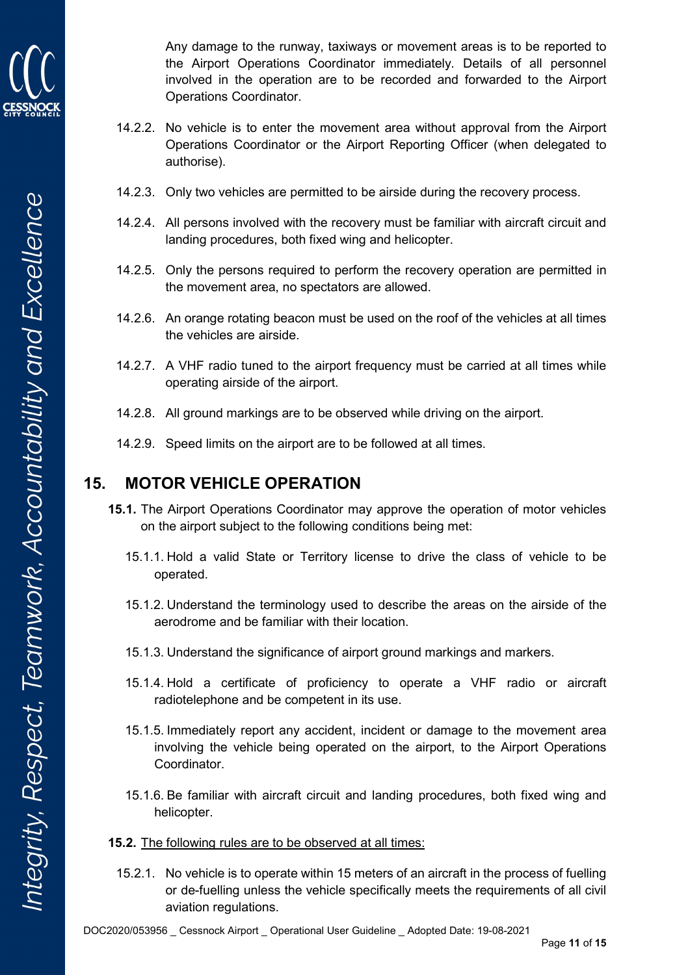

Any damage to the runway, taxiways or movement areas is to be reported to the Airport Operations Coordinator immediately. Details of all personnel involved in the operation are to be recorded and forwarded to the Airport Operations Coordinator.

- 14.2.2. No vehicle is to enter the movement area without approval from the Airport Operations Coordinator or the Airport Reporting Officer (when delegated to authorise).
- 14.2.3. Only two vehicles are permitted to be airside during the recovery process.
- 14.2.4. All persons involved with the recovery must be familiar with aircraft circuit and landing procedures, both fixed wing and helicopter.
- 14.2.5. Only the persons required to perform the recovery operation are permitted in the movement area, no spectators are allowed.
- 14.2.6. An orange rotating beacon must be used on the roof of the vehicles at all times the vehicles are airside.
- 14.2.7. A VHF radio tuned to the airport frequency must be carried at all times while operating airside of the airport.
- 14.2.8. All ground markings are to be observed while driving on the airport.
- 14.2.9. Speed limits on the airport are to be followed at all times.

### 15. MOTOR VEHICLE OPERATION

- 15.1. The Airport Operations Coordinator may approve the operation of motor vehicles on the airport subject to the following conditions being met:
	- 15.1.1. Hold a valid State or Territory license to drive the class of vehicle to be operated.
	- 15.1.2. Understand the terminology used to describe the areas on the airside of the aerodrome and be familiar with their location.
	- 15.1.3. Understand the significance of airport ground markings and markers.
	- 15.1.4. Hold a certificate of proficiency to operate a VHF radio or aircraft radiotelephone and be competent in its use.
	- 15.1.5. Immediately report any accident, incident or damage to the movement area involving the vehicle being operated on the airport, to the Airport Operations Coordinator.
	- 15.1.6. Be familiar with aircraft circuit and landing procedures, both fixed wing and helicopter.
- 15.2. The following rules are to be observed at all times:
	- 15.2.1. No vehicle is to operate within 15 meters of an aircraft in the process of fuelling or de-fuelling unless the vehicle specifically meets the requirements of all civil aviation regulations.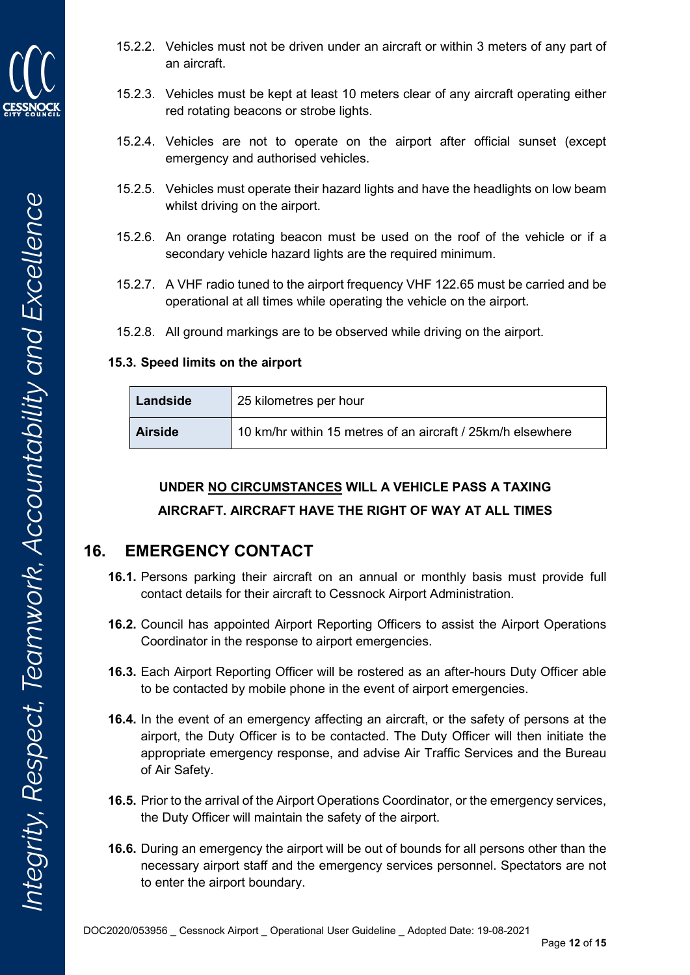

- 15.2.2. Vehicles must not be driven under an aircraft or within 3 meters of any part of an aircraft.
- 15.2.3. Vehicles must be kept at least 10 meters clear of any aircraft operating either red rotating beacons or strobe lights.
- 15.2.4. Vehicles are not to operate on the airport after official sunset (except emergency and authorised vehicles.
- 15.2.5. Vehicles must operate their hazard lights and have the headlights on low beam whilst driving on the airport.
- 15.2.6. An orange rotating beacon must be used on the roof of the vehicle or if a secondary vehicle hazard lights are the required minimum.
- 15.2.7. A VHF radio tuned to the airport frequency VHF 122.65 must be carried and be operational at all times while operating the vehicle on the airport.
- 15.2.8. All ground markings are to be observed while driving on the airport.

#### 15.3. Speed limits on the airport

| Landside       | 25 kilometres per hour                                       |  |
|----------------|--------------------------------------------------------------|--|
| <b>Airside</b> | 10 km/hr within 15 metres of an aircraft / 25 km/h elsewhere |  |

### UNDER NO CIRCUMSTANCES WILL A VEHICLE PASS A TAXING

#### AIRCRAFT. AIRCRAFT HAVE THE RIGHT OF WAY AT ALL TIMES

### 16. EMERGENCY CONTACT

- 16.1. Persons parking their aircraft on an annual or monthly basis must provide full contact details for their aircraft to Cessnock Airport Administration.
- 16.2. Council has appointed Airport Reporting Officers to assist the Airport Operations Coordinator in the response to airport emergencies.
- 16.3. Each Airport Reporting Officer will be rostered as an after-hours Duty Officer able to be contacted by mobile phone in the event of airport emergencies.
- 16.4. In the event of an emergency affecting an aircraft, or the safety of persons at the airport, the Duty Officer is to be contacted. The Duty Officer will then initiate the appropriate emergency response, and advise Air Traffic Services and the Bureau of Air Safety.
- 16.5. Prior to the arrival of the Airport Operations Coordinator, or the emergency services, the Duty Officer will maintain the safety of the airport.
- 16.6. During an emergency the airport will be out of bounds for all persons other than the necessary airport staff and the emergency services personnel. Spectators are not to enter the airport boundary.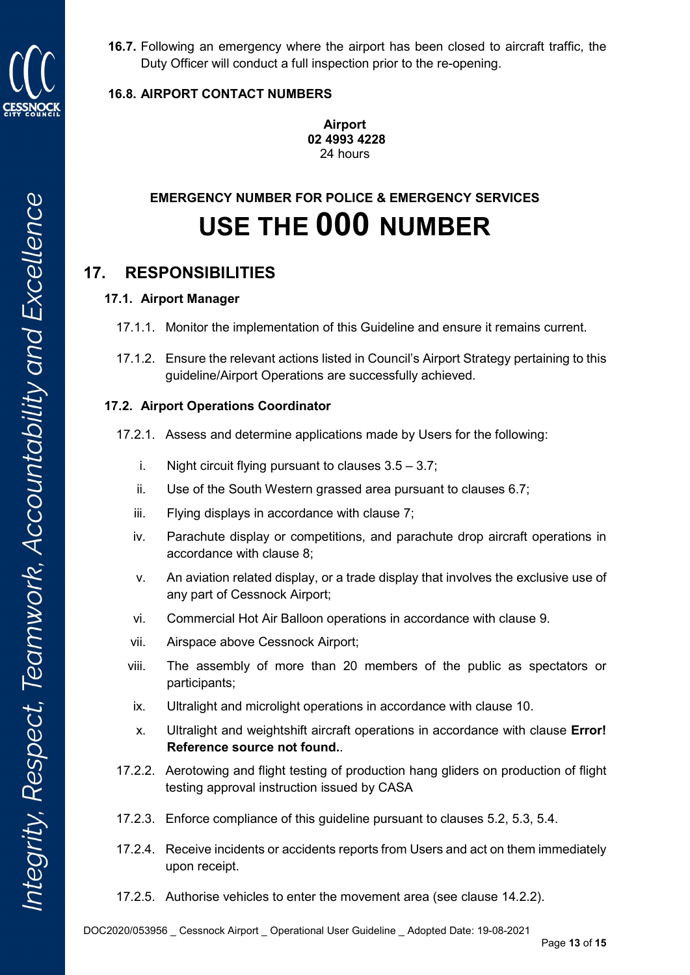

16.7. Following an emergency where the airport has been closed to aircraft traffic, the Duty Officer will conduct a full inspection prior to the re-opening.

#### 16.8. AIRPORT CONTACT NUMBERS

Airport 02 4993 4228 24 hours

# EMERGENCY NUMBER FOR POLICE & EMERGENCY SERVICES USE THE 000 NUMBER

### 17. RESPONSIBILITIES

#### 17.1. Airport Manager

- 17.1.1. Monitor the implementation of this Guideline and ensure it remains current.
- 17.1.2. Ensure the relevant actions listed in Council's Airport Strategy pertaining to this guideline/Airport Operations are successfully achieved.

#### 17.2. Airport Operations Coordinator

- 17.2.1. Assess and determine applications made by Users for the following:
	- i. Night circuit flying pursuant to clauses  $3.5 3.7$ :
	- ii. Use of the South Western grassed area pursuant to clauses 6.7;
	- iii. Flying displays in accordance with clause 7;
	- iv. Parachute display or competitions, and parachute drop aircraft operations in accordance with clause 8;
	- v. An aviation related display, or a trade display that involves the exclusive use of any part of Cessnock Airport;
	- vi. Commercial Hot Air Balloon operations in accordance with clause 9.
	- vii. Airspace above Cessnock Airport;
	- viii. The assembly of more than 20 members of the public as spectators or participants;
	- ix. Ultralight and microlight operations in accordance with clause 10.
	- x. Ultralight and weightshift aircraft operations in accordance with clause Error! Reference source not found..
- 17.2.2. Aerotowing and flight testing of production hang gliders on production of flight testing approval instruction issued by CASA
- 17.2.3. Enforce compliance of this guideline pursuant to clauses 5.2, 5.3, 5.4.
- 17.2.4. Receive incidents or accidents reports from Users and act on them immediately upon receipt.
- 17.2.5. Authorise vehicles to enter the movement area (see clause 14.2.2).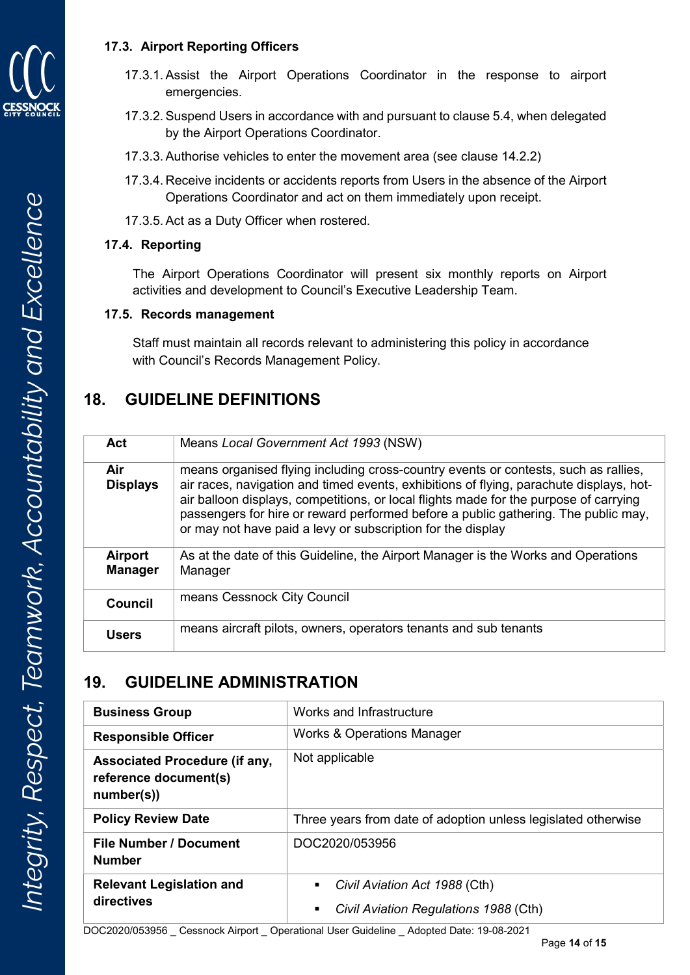

- 17.3.1. Assist the Airport Operations Coordinator in the response to airport emergencies.
- 17.3.2. Suspend Users in accordance with and pursuant to clause 5.4, when delegated by the Airport Operations Coordinator.
- 17.3.3. Authorise vehicles to enter the movement area (see clause 14.2.2)
- 17.3.4. Receive incidents or accidents reports from Users in the absence of the Airport Operations Coordinator and act on them immediately upon receipt.
- 17.3.5. Act as a Duty Officer when rostered.

#### 17.4. Reporting

The Airport Operations Coordinator will present six monthly reports on Airport activities and development to Council's Executive Leadership Team.

#### 17.5. Records management

Staff must maintain all records relevant to administering this policy in accordance with Council's Records Management Policy.

### 18. GUIDELINE DEFINITIONS

| Act                       | Means Local Government Act 1993 (NSW)                                                                                                                                                                                                                                                                                                                                                                                        |
|---------------------------|------------------------------------------------------------------------------------------------------------------------------------------------------------------------------------------------------------------------------------------------------------------------------------------------------------------------------------------------------------------------------------------------------------------------------|
| Air<br><b>Displays</b>    | means organised flying including cross-country events or contests, such as rallies,<br>air races, navigation and timed events, exhibitions of flying, parachute displays, hot-<br>air balloon displays, competitions, or local flights made for the purpose of carrying<br>passengers for hire or reward performed before a public gathering. The public may,<br>or may not have paid a levy or subscription for the display |
| Airport<br><b>Manager</b> | As at the date of this Guideline, the Airport Manager is the Works and Operations<br>Manager                                                                                                                                                                                                                                                                                                                                 |
| <b>Council</b>            | means Cessnock City Council                                                                                                                                                                                                                                                                                                                                                                                                  |
| Users                     | means aircraft pilots, owners, operators tenants and sub tenants                                                                                                                                                                                                                                                                                                                                                             |

### 19. GUIDELINE ADMINISTRATION

| <b>Business Group</b>                                                       | Works and Infrastructure                                                         |  |
|-----------------------------------------------------------------------------|----------------------------------------------------------------------------------|--|
| <b>Responsible Officer</b>                                                  | Works & Operations Manager                                                       |  |
| <b>Associated Procedure (if any,</b><br>reference document(s)<br>number(s)) | Not applicable                                                                   |  |
| <b>Policy Review Date</b>                                                   | Three years from date of adoption unless legislated otherwise                    |  |
| <b>File Number / Document</b><br><b>Number</b>                              | DOC2020/053956                                                                   |  |
| <b>Relevant Legislation and</b><br>directives                               | Civil Aviation Act 1988 (Cth)<br>٠<br>Civil Aviation Regulations 1988 (Cth)<br>п |  |

DOC2020/053956 \_ Cessnock Airport \_ Operational User Guideline \_ Adopted Date: 19-08-2021